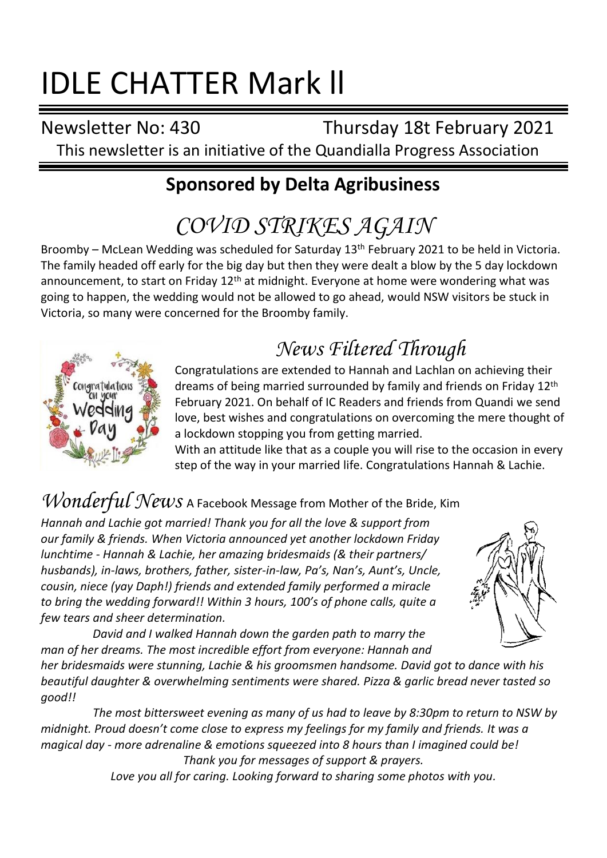# IDLE CHATTER Mark ll

Newsletter No: 430 Thursday 18t February 2021

This newsletter is an initiative of the Quandialla Progress Association

## **Sponsored by Delta Agribusiness**

## *COVID STRIKES AGAIN*

Broomby – McLean Wedding was scheduled for Saturday 13th February 2021 to be held in Victoria. The family headed off early for the big day but then they were dealt a blow by the 5 day lockdown announcement, to start on Friday  $12<sup>th</sup>$  at midnight. Everyone at home were wondering what was going to happen, the wedding would not be allowed to go ahead, would NSW visitors be stuck in Victoria, so many were concerned for the Broomby family.



## *News Filtered Through*

Congratulations are extended to Hannah and Lachlan on achieving their dreams of being married surrounded by family and friends on Friday 12th February 2021. On behalf of IC Readers and friends from Quandi we send love, best wishes and congratulations on overcoming the mere thought of a lockdown stopping you from getting married.

With an attitude like that as a couple you will rise to the occasion in every step of the way in your married life. Congratulations Hannah & Lachie.

## *Wonderful News* A Facebook Message from Mother of the Bride, Kim

*Hannah and Lachie got married! Thank you for all the love & support from our family & friends. When Victoria announced yet another lockdown Friday lunchtime - Hannah & Lachie, her amazing bridesmaids (& their partners/ husbands), in-laws, brothers, father, sister-in-law, Pa's, Nan's, Aunt's, Uncle, cousin, niece (yay Daph!) friends and extended family performed a miracle to bring the wedding forward!! Within 3 hours, 100's of phone calls, quite a few tears and sheer determination.*



*David and I walked Hannah down the garden path to marry the man of her dreams. The most incredible effort from everyone: Hannah and* 

*her bridesmaids were stunning, Lachie & his groomsmen handsome. David got to dance with his beautiful daughter & overwhelming sentiments were shared. Pizza & garlic bread never tasted so good!!*

*The most bittersweet evening as many of us had to leave by 8:30pm to return to NSW by midnight. Proud doesn't come close to express my feelings for my family and friends. It was a magical day - more adrenaline & emotions squeezed into 8 hours than I imagined could be! Thank you for messages of support & prayers.*

*Love you all for caring. Looking forward to sharing some photos with you.*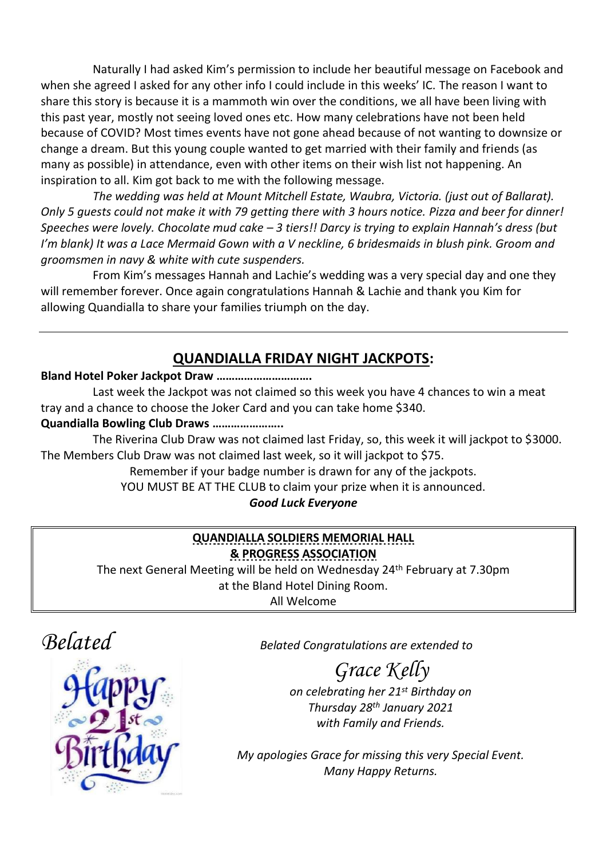Naturally I had asked Kim's permission to include her beautiful message on Facebook and when she agreed I asked for any other info I could include in this weeks' IC. The reason I want to share this story is because it is a mammoth win over the conditions, we all have been living with this past year, mostly not seeing loved ones etc. How many celebrations have not been held because of COVID? Most times events have not gone ahead because of not wanting to downsize or change a dream. But this young couple wanted to get married with their family and friends (as many as possible) in attendance, even with other items on their wish list not happening. An inspiration to all. Kim got back to me with the following message.

*The wedding was held at Mount Mitchell Estate, Waubra, Victoria. (just out of Ballarat). Only 5 guests could not make it with 79 getting there with 3 hours notice. Pizza and beer for dinner! Speeches were lovely. Chocolate mud cake – 3 tiers!! Darcy is trying to explain Hannah's dress (but I'm blank) It was a Lace Mermaid Gown with a V neckline, 6 bridesmaids in blush pink. Groom and groomsmen in navy & white with cute suspenders.*

From Kim's messages Hannah and Lachie's wedding was a very special day and one they will remember forever. Once again congratulations Hannah & Lachie and thank you Kim for allowing Quandialla to share your families triumph on the day.

#### **QUANDIALLA FRIDAY NIGHT JACKPOTS:**

#### **Bland Hotel Poker Jackpot Draw ………………………….**

Last week the Jackpot was not claimed so this week you have 4 chances to win a meat tray and a chance to choose the Joker Card and you can take home \$340.

#### **Quandialla Bowling Club Draws …………………..**

The Riverina Club Draw was not claimed last Friday, so, this week it will jackpot to \$3000. The Members Club Draw was not claimed last week, so it will jackpot to \$75.

Remember if your badge number is drawn for any of the jackpots.

YOU MUST BE AT THE CLUB to claim your prize when it is announced.

#### *Good Luck Everyone*

#### **QUANDIALLA SOLDIERS MEMORIAL HALL & PROGRESS ASSOCIATION**

The next General Meeting will be held on Wednesday 24th February at 7.30pm at the Bland Hotel Dining Room.

All Welcome





*Belated Belated Congratulations are extended to*

## *Grace Kelly*

*on celebrating her 21st Birthday on Thursday 28th January 2021 with Family and Friends.*

*My apologies Grace for missing this very Special Event. Many Happy Returns.*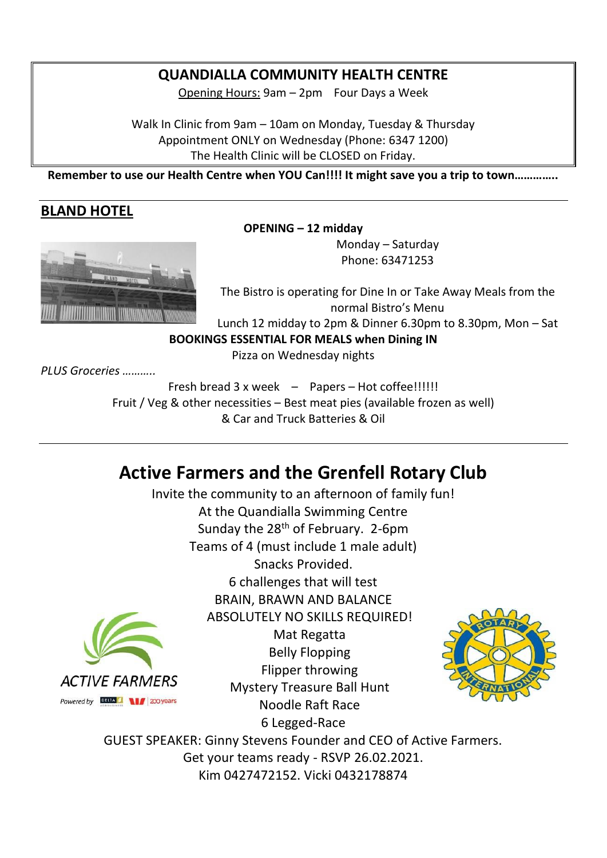#### **QUANDIALLA COMMUNITY HEALTH CENTRE**

Opening Hours: 9am – 2pm Four Days a Week

Walk In Clinic from 9am – 10am on Monday, Tuesday & Thursday Appointment ONLY on Wednesday (Phone: 6347 1200) The Health Clinic will be CLOSED on Friday.

**Remember to use our Health Centre when YOU Can!!!! It might save you a trip to town…………..**

#### **BLAND HOTEL**



Monday – Saturday Phone: 63471253



The Bistro is operating for Dine In or Take Away Meals from the normal Bistro's Menu Lunch 12 midday to 2pm & Dinner 6.30pm to 8.30pm, Mon – Sat

**BOOKINGS ESSENTIAL FOR MEALS when Dining IN**

Pizza on Wednesday nights

*PLUS Groceries ………..*

Fresh bread 3 x week – Papers – Hot coffee!!!!!! Fruit / Veg & other necessities – Best meat pies (available frozen as well) & Car and Truck Batteries & Oil

### **Active Farmers and the Grenfell Rotary Club**

Invite the community to an afternoon of family fun! At the Quandialla Swimming Centre Sunday the  $28<sup>th</sup>$  of February. 2-6pm Teams of 4 (must include 1 male adult) Snacks Provided. 6 challenges that will test BRAIN, BRAWN AND BALANCE ABSOLUTELY NO SKILLS REQUIRED! Mat Regatta Belly Flopping Flipper throwing **ACTIVE FARMERS** Mystery Treasure Ball Hunt Powered by **DELTA** 1/200 years Noodle Raft Race 6 Legged-Race



GUEST SPEAKER: Ginny Stevens Founder and CEO of Active Farmers. Get your teams ready - RSVP 26.02.2021. Kim 0427472152. Vicki 0432178874